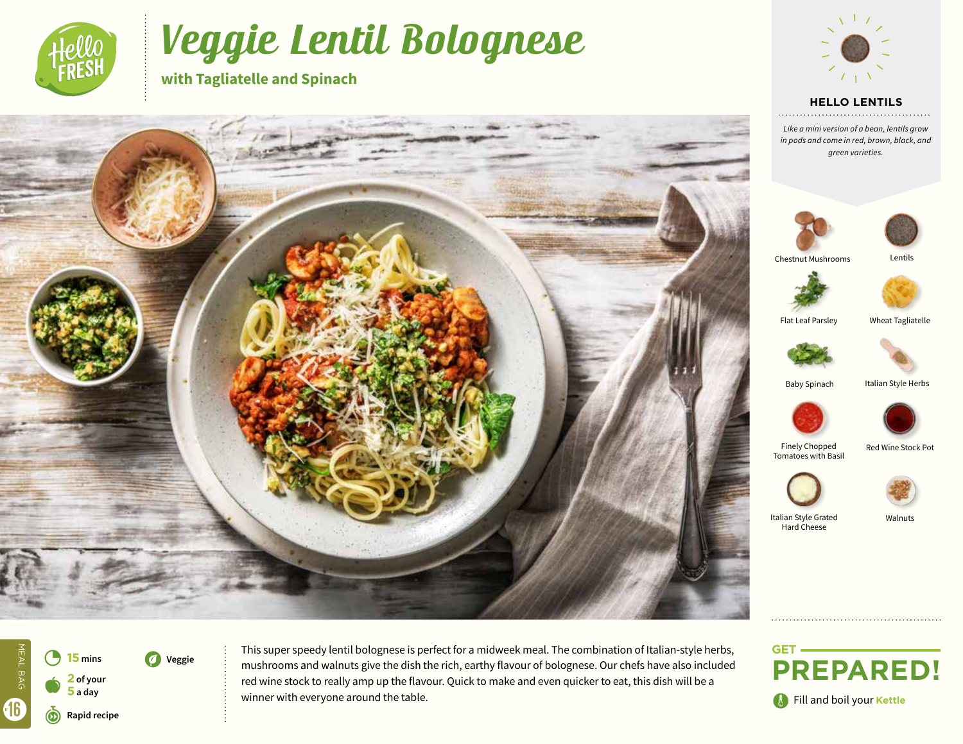

# Veggie Lentil Bolognese

**with Tagliatelle and Spinach**



## **HELLO LENTILS**

*Like a mini version of a bean, lentils grow in pods and come in red, brown, black, and green varieties.*







 $\bullet$ 3 **<sup>15</sup> mins 2 of your 5 a day** r**Rapid recipe** 

V **Veggie**

MEAL BAG

MEAL BAG

16

This super speedy lentil bolognese is perfect for a midweek meal. The combination of Italian-style herbs, mushrooms and walnuts give the dish the rich, earthy flavour of bolognese. Our chefs have also included red wine stock to really amp up the flavour. Quick to make and even quicker to eat, this dish will be a winner with everyone around the table.